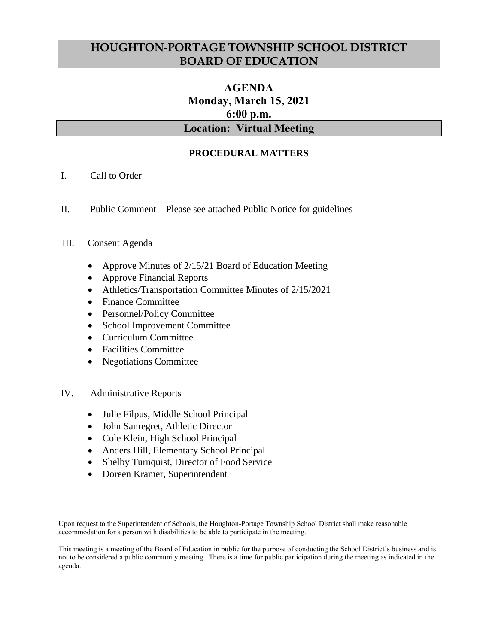## **HOUGHTON-PORTAGE TOWNSHIP SCHOOL DISTRICT BOARD OF EDUCATION**

# **AGENDA Monday, March 15, 2021 6:00 p.m. Location: Virtual Meeting**

## **PROCEDURAL MATTERS**

- I. Call to Order
- II. Public Comment Please see attached Public Notice for guidelines

### III. Consent Agenda

- Approve Minutes of 2/15/21 Board of Education Meeting
- Approve Financial Reports
- Athletics/Transportation Committee Minutes of 2/15/2021
- Finance Committee
- Personnel/Policy Committee
- School Improvement Committee
- Curriculum Committee
- Facilities Committee
- Negotiations Committee
- IV. Administrative Reports
	- Julie Filpus, Middle School Principal
	- John Sanregret, Athletic Director
	- Cole Klein, High School Principal
	- Anders Hill, Elementary School Principal
	- Shelby Turnquist, Director of Food Service
	- Doreen Kramer, Superintendent

Upon request to the Superintendent of Schools, the Houghton-Portage Township School District shall make reasonable accommodation for a person with disabilities to be able to participate in the meeting.

This meeting is a meeting of the Board of Education in public for the purpose of conducting the School District's business and is not to be considered a public community meeting. There is a time for public participation during the meeting as indicated in the agenda.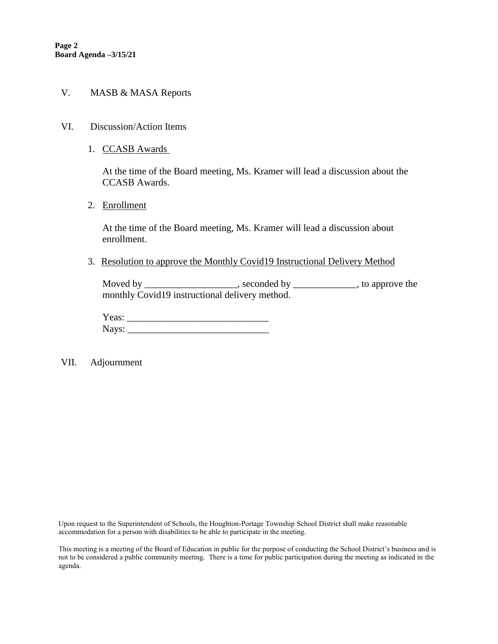#### V. MASB & MASA Reports

- VI. Discussion/Action Items
	- 1. CCASB Awards

At the time of the Board meeting, Ms. Kramer will lead a discussion about the CCASB Awards.

2. Enrollment

At the time of the Board meeting, Ms. Kramer will lead a discussion about enrollment.

3. Resolution to approve the Monthly Covid19 Instructional Delivery Method

Moved by \_\_\_\_\_\_\_\_\_\_\_\_\_\_\_\_\_\_\_\_, seconded by \_\_\_\_\_\_\_\_\_\_\_\_\_\_, to approve the monthly Covid19 instructional delivery method.

Yeas: \_\_\_\_\_\_\_\_\_\_\_\_\_\_\_\_\_\_\_\_\_\_\_\_\_\_\_\_\_ Nays: \_\_\_\_\_\_\_\_\_\_\_\_\_\_\_\_\_\_\_\_\_\_\_\_\_\_\_\_\_

VII. Adjournment

Upon request to the Superintendent of Schools, the Houghton-Portage Township School District shall make reasonable accommodation for a person with disabilities to be able to participate in the meeting.

This meeting is a meeting of the Board of Education in public for the purpose of conducting the School District's business and is not to be considered a public community meeting. There is a time for public participation during the meeting as indicated in the agenda.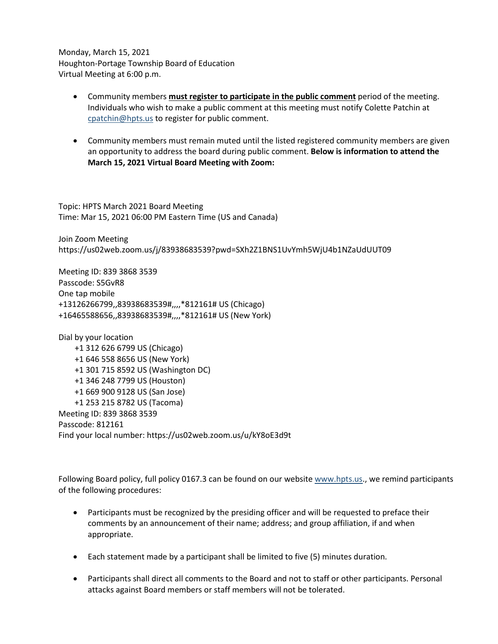Monday, March 15, 2021 Houghton-Portage Township Board of Education Virtual Meeting at 6:00 p.m.

- Community members **must register to participate in the public comment** period of the meeting. Individuals who wish to make a public comment at this meeting must notify Colette Patchin at [cpatchin@hpts.us](mailto:cpatchin@hpts.us) to register for public comment.
- Community members must remain muted until the listed registered community members are given an opportunity to address the board during public comment. **Below is information to attend the March 15, 2021 Virtual Board Meeting with Zoom:**

Topic: HPTS March 2021 Board Meeting Time: Mar 15, 2021 06:00 PM Eastern Time (US and Canada)

Join Zoom Meeting https://us02web.zoom.us/j/83938683539?pwd=SXh2Z1BNS1UvYmh5WjU4b1NZaUdUUT09

Meeting ID: 839 3868 3539 Passcode: S5GvR8 One tap mobile +13126266799,,83938683539#,,,,\*812161# US (Chicago) +16465588656,,83938683539#,,,,\*812161# US (New York)

Dial by your location +1 312 626 6799 US (Chicago) +1 646 558 8656 US (New York) +1 301 715 8592 US (Washington DC) +1 346 248 7799 US (Houston) +1 669 900 9128 US (San Jose) +1 253 215 8782 US (Tacoma) Meeting ID: 839 3868 3539 Passcode: 812161 Find your local number: https://us02web.zoom.us/u/kY8oE3d9t

Following Board policy, full policy 0167.3 can be found on our website [www.hpts.us.](http://www.hpts.us/), we remind participants of the following procedures:

- Participants must be recognized by the presiding officer and will be requested to preface their comments by an announcement of their name; address; and group affiliation, if and when appropriate.
- Each statement made by a participant shall be limited to five (5) minutes duration.
- Participants shall direct all comments to the Board and not to staff or other participants. Personal attacks against Board members or staff members will not be tolerated.